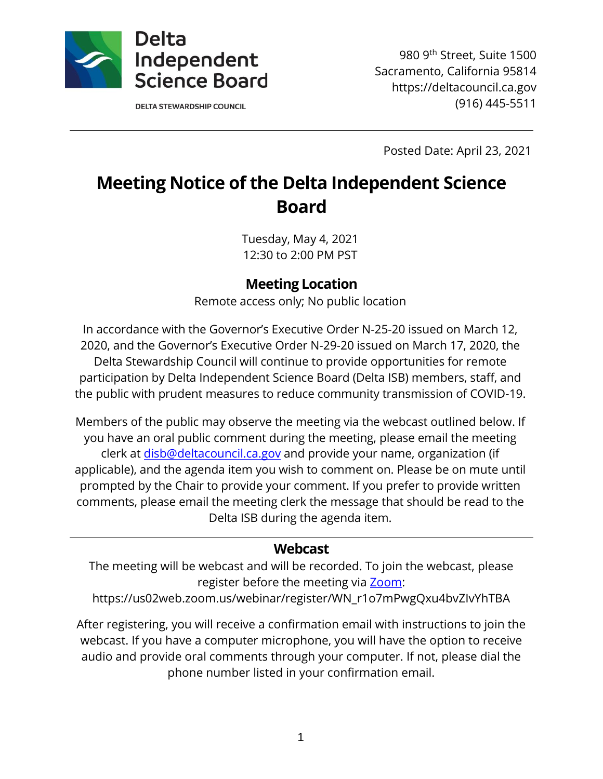

**DELTA STEWARDSHIP COUNCIL** 

980 9th Street, Suite 1500 Sacramento, California 95814 https://deltacouncil.ca.gov (916) 445-5511

Posted Date: April 23, 2021

# **Meeting Notice of the Delta Independent Science Board**

Tuesday, May 4, 2021 12:30 to 2:00 PM PST

### **Meeting Location**

Remote access only; No public location

In accordance with the Governor's Executive Order N-25-20 issued on March 12, 2020, and the Governor's Executive Order N-29-20 issued on March 17, 2020, the Delta Stewardship Council will continue to provide opportunities for remote participation by Delta Independent Science Board (Delta ISB) members, staff, and the public with prudent measures to reduce community transmission of COVID-19.

Members of the public may observe the meeting via the webcast outlined below. If you have an oral public comment during the meeting, please email the meeting clerk at [disb@deltacouncil.ca.gov](mailto:disb@deltacouncil.ca.gov) and provide your name, organization (if applicable), and the agenda item you wish to comment on. Please be on mute until prompted by the Chair to provide your comment. If you prefer to provide written comments, please email the meeting clerk the message that should be read to the Delta ISB during the agenda item.

#### **Webcast**

The meeting will be webcast and will be recorded. To join the webcast, please register before the meeting via [Zoom:](https://us02web.zoom.us/webinar/register/WN_r1o7mPwgQxu4bvZIvYhTBA)

https://us02web.zoom.us/webinar/register/WN\_r1o7mPwgQxu4bvZIvYhTBA

After registering, you will receive a confirmation email with instructions to join the webcast. If you have a computer microphone, you will have the option to receive audio and provide oral comments through your computer. If not, please dial the phone number listed in your confirmation email.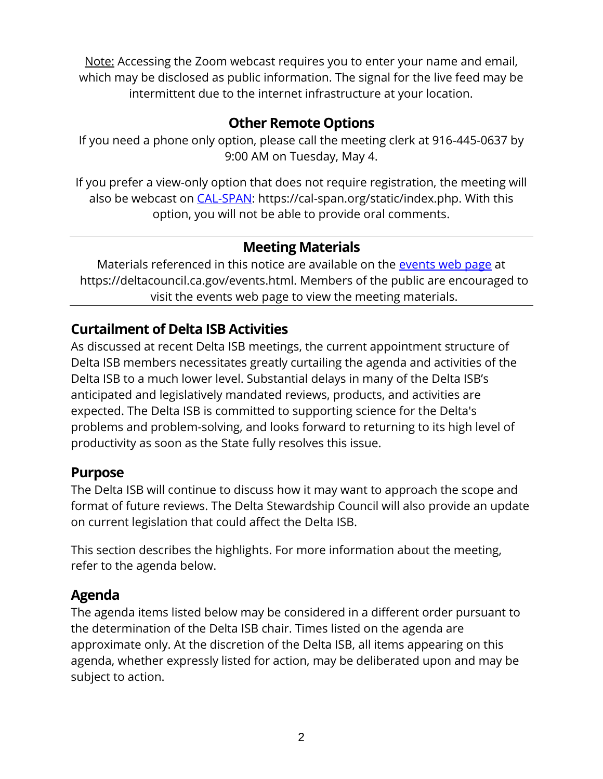Note: Accessing the Zoom webcast requires you to enter your name and email, which may be disclosed as public information. The signal for the live feed may be intermittent due to the internet infrastructure at your location.

# **Other Remote Options**

If you need a phone only option, please call the meeting clerk at 916-445-0637 by 9:00 AM on Tuesday, May 4.

If you prefer a view-only option that does not require registration, the meeting will also be webcast on [CAL-SPAN:](https://cal-span.org/static/index.php) https://cal-span.org/static/index.php. With this option, you will not be able to provide oral comments.

# **Meeting Materials**

Materials referenced in this notice are available on the [events web page](https://deltacouncil.ca.gov/events.html) at https://deltacouncil.ca.gov/events.html. Members of the public are encouraged to visit the events web page to view the meeting materials.

# **Curtailment of Delta ISB Activities**

As discussed at recent Delta ISB meetings, the current appointment structure of Delta ISB members necessitates greatly curtailing the agenda and activities of the Delta ISB to a much lower level. Substantial delays in many of the Delta ISB's anticipated and legislatively mandated reviews, products, and activities are expected. The Delta ISB is committed to supporting science for the Delta's problems and problem-solving, and looks forward to returning to its high level of productivity as soon as the State fully resolves this issue.

## **Purpose**

The Delta ISB will continue to discuss how it may want to approach the scope and format of future reviews. The Delta Stewardship Council will also provide an update on current legislation that could affect the Delta ISB.

This section describes the highlights. For more information about the meeting, refer to the agenda below.

# **Agenda**

The agenda items listed below may be considered in a different order pursuant to the determination of the Delta ISB chair. Times listed on the agenda are approximate only. At the discretion of the Delta ISB, all items appearing on this agenda, whether expressly listed for action, may be deliberated upon and may be subject to action.